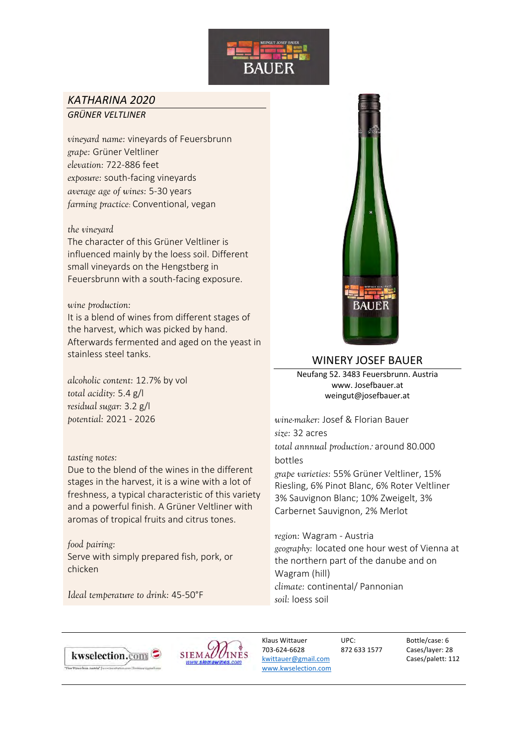

# *KATHARINA 2020 GRÜNER VELTLINER*

*vineyard name:* vineyards of Feuersbrunn *grape:* Grüner Veltliner *elevation:* 722-886 feet *exposure:* south-facing vineyards *average age of wines:* 5-30 years *farming practice:* Conventional, vegan

### *the vineyard*

The character of this Grüner Veltliner is influenced mainly by the loess soil. Different small vineyards on the Hengstberg in Feuersbrunn with a south-facing exposure.

#### *wine production:*

It is a blend of wines from different stages of the harvest, which was picked by hand. Afterwards fermented and aged on the yeast in stainless steel tanks.

*alcoholic content:* 12.7% by vol *total acidity:* 5.4 g/l *residual sugar:* 3.2 g/l *potential:* 2021 - 2026

#### *tasting notes:*

Due to the blend of the wines in the different stages in the harvest, it is a wine with a lot of freshness, a typical characteristic of this variety and a powerful finish. A Grüner Veltliner with aromas of tropical fruits and citrus tones.

*food pairing:*  Serve with simply prepared fish, pork, or chicken

*Ideal temperature to drink:* 45-50°F



# WINERY JOSEF BAUER

Neufang 52. 3483 Feuersbrunn. Austria www. Josefbauer.at weingut@josefbauer.at

*wine-maker:* Josef & Florian Bauer *size:* 32 acres *total annnual production:* around 80.000 bottles

*grape varieties:* 55% Grüner Veltliner, 15% Riesling, 6% Pinot Blanc, 6% Roter Veltliner 3% Sauvignon Blanc; 10% Zweigelt, 3% Carbernet Sauvignon, 2% Merlot

*region:* Wagram - Austria *geography:* located one hour west of Vienna at the northern part of the danube and on Wagram (hill) *climate:* continental/ Pannonian *soil:* loess soil





Klaus Wittauer 703-624-6628 kwittauer@gmail.com www.kwselection.com

UPC: 872 633 1577

Bottle/case: 6 Cases/layer: 28 Cases/palett: 112